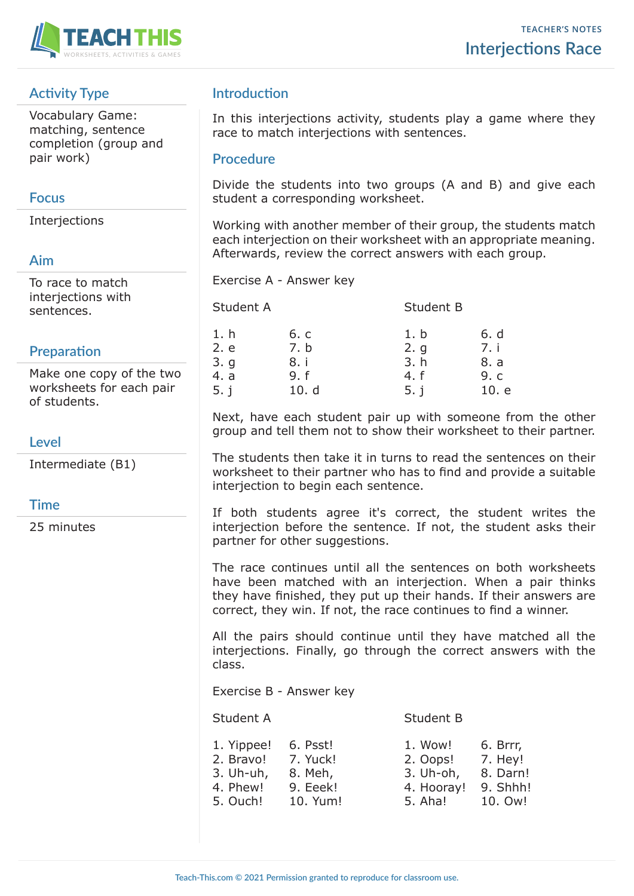

# **Activity Type**

Vocabulary Game: matching, sentence completion (group and pair work)

# **Focus**

Interjections

# **Aim**

To race to match interjections with sentences.

# **Preparation**

Make one copy of the two worksheets for each pair of students.

# **Level**

Intermediate (B1)

## **Time**

25 minutes

# **Introduction**

In this interjections activity, students play a game where they race to match interjections with sentences.

### **Procedure**

Divide the students into two groups (A and B) and give each student a corresponding worksheet.

Working with another member of their group, the students match each interjection on their worksheet with an appropriate meaning. Afterwards, review the correct answers with each group.

Exercise A - Answer key

| Student A |      | Student B |       |
|-----------|------|-----------|-------|
| 1. h      | 6. c | 1. b      | 6. d  |
| 2. e      | 7. b | 2. q      | 7. i  |
| 3.9       | 8. i | 3. h      | 8. a  |
| 4. a      | 9. f | 4. f      | 9. c  |
| 5. j      | 10.d | 5. j      | 10. e |

Next, have each student pair up with someone from the other group and tell them not to show their worksheet to their partner.

The students then take it in turns to read the sentences on their worksheet to their partner who has to find and provide a suitable interjection to begin each sentence.

If both students agree it's correct, the student writes the interjection before the sentence. If not, the student asks their partner for other suggestions.

The race continues until all the sentences on both worksheets have been matched with an interjection. When a pair thinks they have finished, they put up their hands. If their answers are correct, they win. If not, the race continues to find a winner.

All the pairs should continue until they have matched all the interjections. Finally, go through the correct answers with the class.

Exercise B - Answer key

Student A Student B

| 1. Yippee!<br>2. Bravo!<br>3. Uh-uh, | 6. Psst!<br>7. Yuck!<br>8. Meh, | 1. Wow!<br>2. Oops!<br>3. Uh-oh, | 6. Brrr,<br>7. Hey!<br>8. Darn! |
|--------------------------------------|---------------------------------|----------------------------------|---------------------------------|
| 4. Phew!                             | 9. Eeek!                        | 4. Hooray!                       | 9. Shhh!                        |
| 5. Ouch!                             | 10. Yum!                        | 5. Aha!                          | 10. Ow!                         |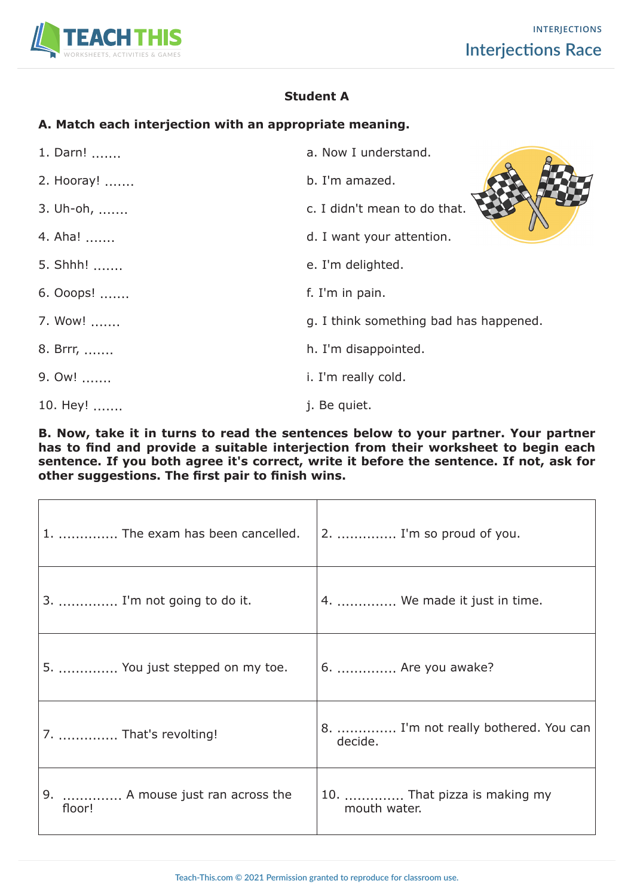

# **Student A**

## **A. Match each interjection with an appropriate meaning.**

| 1. Darn!   | a. Now I understand.                   |
|------------|----------------------------------------|
| 2. Hooray! | b. I'm amazed.                         |
| 3. Uh-oh,  | c. I didn't mean to do that.           |
| 4. Aha!    | d. I want your attention.              |
| 5. Shhh!   | e. I'm delighted.                      |
| 6. Ooops!  | f. I'm in pain.                        |
| 7. Wow!    | g. I think something bad has happened. |
| 8. Brrr,   | h. I'm disappointed.                   |
| 9. Ow!     | i. I'm really cold.                    |
| 10. Hey!   | j. Be quiet.                           |

**B. Now, take it in turns to read the sentences below to your partner. Your partner has to find and provide a suitable interjection from their worksheet to begin each sentence. If you both agree it's correct, write it before the sentence. If not, ask for other suggestions. The first pair to finish wins.** 

| 1.  The exam has been cancelled.          | 2.  I'm so proud of you.                        |
|-------------------------------------------|-------------------------------------------------|
| 3.  I'm not going to do it.               | 4.  We made it just in time.                    |
| 5.  You just stepped on my toe.           | 6.  Are you awake?                              |
| 7.  That's revolting!                     | 8.  I'm not really bothered. You can<br>decide. |
| 9.  A mouse just ran across the<br>floor! | 10.  That pizza is making my<br>mouth water.    |